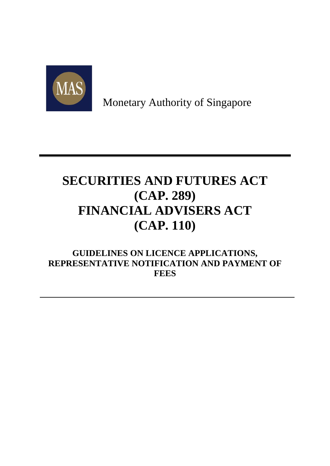

Monetary Authority of Singapore

# **SECURITIES AND FUTURES ACT (CAP. 289) FINANCIAL ADVISERS ACT (CAP. 110)**

**GUIDELINES ON LICENCE APPLICATIONS, REPRESENTATIVE NOTIFICATION AND PAYMENT OF FEES**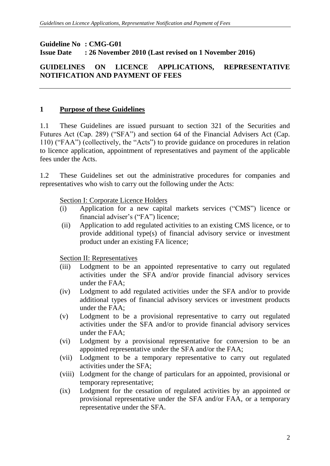#### **Guideline No : CMG-G01 Issue Date : 26 November 2010 (Last revised on 1 November 2016)**

## **GUIDELINES ON LICENCE APPLICATIONS, REPRESENTATIVE NOTIFICATION AND PAYMENT OF FEES**

#### **1 Purpose of these Guidelines**

1.1 These Guidelines are issued pursuant to section 321 of the Securities and Futures Act (Cap. 289) ("SFA") and section 64 of the Financial Advisers Act (Cap. 110) ("FAA") (collectively, the "Acts") to provide guidance on procedures in relation to licence application, appointment of representatives and payment of the applicable fees under the Acts.

1.2 These Guidelines set out the administrative procedures for companies and representatives who wish to carry out the following under the Acts:

#### Section I: Corporate Licence Holders

- (i) Application for a new capital markets services ("CMS") licence or financial adviser's ("FA") licence;
- (ii) Application to add regulated activities to an existing CMS licence, or to provide additional type(s) of financial advisory service or investment product under an existing FA licence;

#### Section II: Representatives

- (iii) Lodgment to be an appointed representative to carry out regulated activities under the SFA and/or provide financial advisory services under the FAA;
- (iv) Lodgment to add regulated activities under the SFA and/or to provide additional types of financial advisory services or investment products under the FAA;
- (v) Lodgment to be a provisional representative to carry out regulated activities under the SFA and/or to provide financial advisory services under the FAA;
- (vi) Lodgment by a provisional representative for conversion to be an appointed representative under the SFA and/or the FAA;
- (vii) Lodgment to be a temporary representative to carry out regulated activities under the SFA;
- (viii) Lodgment for the change of particulars for an appointed, provisional or temporary representative;
- (ix) Lodgment for the cessation of regulated activities by an appointed or provisional representative under the SFA and/or FAA, or a temporary representative under the SFA.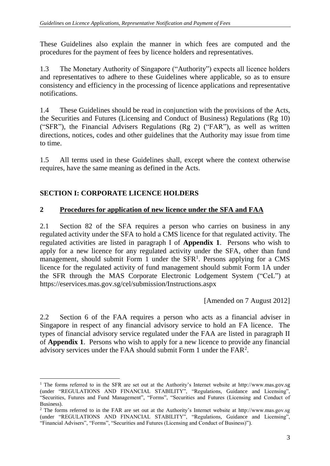These Guidelines also explain the manner in which fees are computed and the procedures for the payment of fees by licence holders and representatives.

1.3 The Monetary Authority of Singapore ("Authority") expects all licence holders and representatives to adhere to these Guidelines where applicable, so as to ensure consistency and efficiency in the processing of licence applications and representative notifications.

1.4 These Guidelines should be read in conjunction with the provisions of the Acts, the Securities and Futures (Licensing and Conduct of Business) Regulations (Rg 10) ("SFR"), the Financial Advisers Regulations (Rg 2) ("FAR"), as well as written directions, notices, codes and other guidelines that the Authority may issue from time to time.

1.5 All terms used in these Guidelines shall, except where the context otherwise requires, have the same meaning as defined in the Acts.

## **SECTION I: CORPORATE LICENCE HOLDERS**

1

## **2 Procedures for application of new licence under the SFA and FAA**

2.1 Section 82 of the SFA requires a person who carries on business in any regulated activity under the SFA to hold a CMS licence for that regulated activity. The regulated activities are listed in paragraph I of **Appendix 1**. Persons who wish to apply for a new licence for any regulated activity under the SFA, other than fund management, should submit Form 1 under the  $SFR<sup>1</sup>$ . Persons applying for a CMS licence for the regulated activity of fund management should submit Form 1A under the SFR through the MAS Corporate Electronic Lodgement System ("CeL") at https://eservices.mas.gov.sg/cel/submission/Instructions.aspx

[Amended on 7 August 2012]

2.2 Section 6 of the FAA requires a person who acts as a financial adviser in Singapore in respect of any financial advisory service to hold an FA licence. The types of financial advisory service regulated under the FAA are listed in paragraph II of **Appendix 1**. Persons who wish to apply for a new licence to provide any financial advisory services under the FAA should submit Form 1 under the FAR<sup>2</sup> .

<sup>&</sup>lt;sup>1</sup> The forms referred to in the SFR are set out at the Authority's Internet website at http://www.mas.gov.sg (under "REGULATIONS AND FINANCIAL STABILITY", "Regulations, Guidance and Licensing", "Securities, Futures and Fund Management", "Forms", "Securities and Futures (Licensing and Conduct of Business).

<sup>&</sup>lt;sup>2</sup> The forms referred to in the FAR are set out at the Authority's Internet website at http://www.mas.gov.sg (under "REGULATIONS AND FINANCIAL STABILITY", "Regulations, Guidance and Licensing", "Financial Advisers", "Forms", "Securities and Futures (Licensing and Conduct of Business)").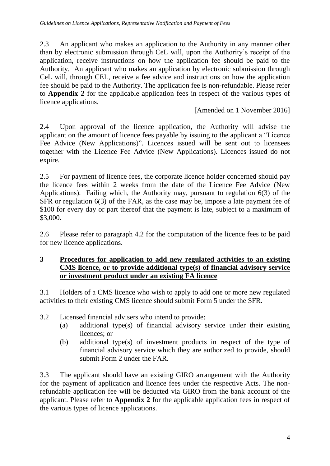2.3 An applicant who makes an application to the Authority in any manner other than by electronic submission through CeL will, upon the Authority's receipt of the application, receive instructions on how the application fee should be paid to the Authority. An applicant who makes an application by electronic submission through CeL will, through CEL, receive a fee advice and instructions on how the application fee should be paid to the Authority. The application fee is non-refundable. Please refer to **Appendix 2** for the applicable application fees in respect of the various types of licence applications.

[Amended on 1 November 2016]

2.4 Upon approval of the licence application, the Authority will advise the applicant on the amount of licence fees payable by issuing to the applicant a "Licence Fee Advice (New Applications)". Licences issued will be sent out to licensees together with the Licence Fee Advice (New Applications). Licences issued do not expire.

2.5 For payment of licence fees, the corporate licence holder concerned should pay the licence fees within 2 weeks from the date of the Licence Fee Advice (New Applications). Failing which, the Authority may, pursuant to regulation 6(3) of the SFR or regulation 6(3) of the FAR, as the case may be, impose a late payment fee of \$100 for every day or part thereof that the payment is late, subject to a maximum of \$3,000.

2.6 Please refer to paragraph 4.2 for the computation of the licence fees to be paid for new licence applications.

#### **3 Procedures for application to add new regulated activities to an existing CMS licence, or to provide additional type(s) of financial advisory service or investment product under an existing FA licence**

3.1 Holders of a CMS licence who wish to apply to add one or more new regulated activities to their existing CMS licence should submit Form 5 under the SFR.

- 3.2 Licensed financial advisers who intend to provide:
	- (a) additional type(s) of financial advisory service under their existing licences; or
	- (b) additional type(s) of investment products in respect of the type of financial advisory service which they are authorized to provide, should submit Form 2 under the FAR.

3.3 The applicant should have an existing GIRO arrangement with the Authority for the payment of application and licence fees under the respective Acts. The nonrefundable application fee will be deducted via GIRO from the bank account of the applicant. Please refer to **Appendix 2** for the applicable application fees in respect of the various types of licence applications.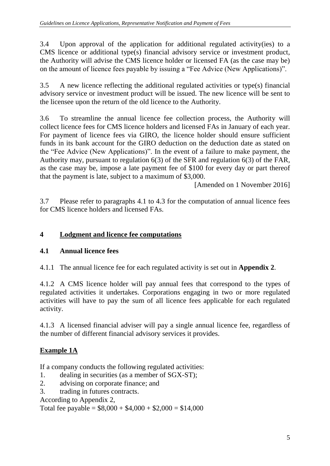3.4 Upon approval of the application for additional regulated activity(ies) to a CMS licence or additional type(s) financial advisory service or investment product, the Authority will advise the CMS licence holder or licensed FA (as the case may be) on the amount of licence fees payable by issuing a "Fee Advice (New Applications)".

3.5 A new licence reflecting the additional regulated activities or type(s) financial advisory service or investment product will be issued. The new licence will be sent to the licensee upon the return of the old licence to the Authority.

3.6 To streamline the annual licence fee collection process, the Authority will collect licence fees for CMS licence holders and licensed FAs in January of each year. For payment of licence fees via GIRO, the licence holder should ensure sufficient funds in its bank account for the GIRO deduction on the deduction date as stated on the "Fee Advice (New Applications)". In the event of a failure to make payment, the Authority may, pursuant to regulation 6(3) of the SFR and regulation 6(3) of the FAR, as the case may be, impose a late payment fee of \$100 for every day or part thereof that the payment is late, subject to a maximum of \$3,000.

[Amended on 1 November 2016]

3.7 Please refer to paragraphs 4.1 to 4.3 for the computation of annual licence fees for CMS licence holders and licensed FAs.

# **4 Lodgment and licence fee computations**

# **4.1 Annual licence fees**

4.1.1 The annual licence fee for each regulated activity is set out in **Appendix 2**.

4.1.2 A CMS licence holder will pay annual fees that correspond to the types of regulated activities it undertakes. Corporations engaging in two or more regulated activities will have to pay the sum of all licence fees applicable for each regulated activity.

4.1.3 A licensed financial adviser will pay a single annual licence fee, regardless of the number of different financial advisory services it provides.

# **Example 1A**

If a company conducts the following regulated activities:

- 1. dealing in securities (as a member of SGX-ST);
- 2. advising on corporate finance; and
- 3. trading in futures contracts.

According to Appendix 2,

Total fee payable =  $$8,000 + $4,000 + $2,000 = $14,000$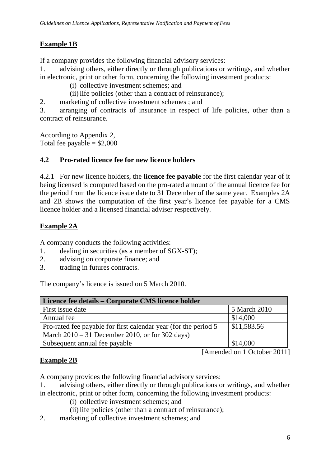# **Example 1B**

If a company provides the following financial advisory services:

- 1. advising others, either directly or through publications or writings, and whether in electronic, print or other form, concerning the following investment products:
	- (i) collective investment schemes; and
	- (ii)life policies (other than a contract of reinsurance);
- 2. marketing of collective investment schemes ; and

3. arranging of contracts of insurance in respect of life policies, other than a contract of reinsurance.

According to Appendix 2, Total fee payable  $= $2,000$ 

## **4.2 Pro-rated licence fee for new licence holders**

4.2.1 For new licence holders, the **licence fee payable** for the first calendar year of it being licensed is computed based on the pro-rated amount of the annual licence fee for the period from the licence issue date to 31 December of the same year. Examples 2A and 2B shows the computation of the first year's licence fee payable for a CMS licence holder and a licensed financial adviser respectively.

## **Example 2A**

A company conducts the following activities:

- 1. dealing in securities (as a member of SGX-ST);
- 2. advising on corporate finance; and
- 3. trading in futures contracts.

The company's licence is issued on 5 March 2010.

| Licence fee details – Corporate CMS licence holder              |              |  |
|-----------------------------------------------------------------|--------------|--|
| First issue date                                                | 5 March 2010 |  |
| Annual fee                                                      | \$14,000     |  |
| Pro-rated fee payable for first calendar year (for the period 5 | \$11,583.56  |  |
| March $2010 - 31$ December 2010, or for 302 days)               |              |  |
| Subsequent annual fee payable                                   | \$14,000     |  |

[Amended on 1 October 2011]

# **Example 2B**

A company provides the following financial advisory services:

- 1. advising others, either directly or through publications or writings, and whether in electronic, print or other form, concerning the following investment products:
	- (i) collective investment schemes; and
	- (ii) life policies (other than a contract of reinsurance);
- 2. marketing of collective investment schemes; and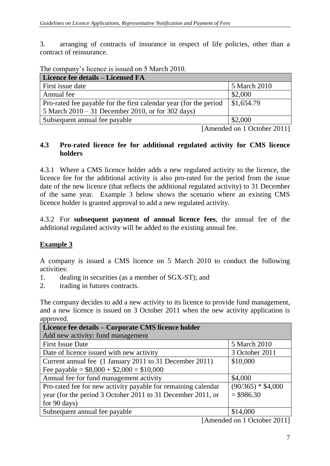3. arranging of contracts of insurance in respect of life policies, other than a contract of reinsurance.

The company's licence is issued on 5 March 2010.

| Licence fee details - Licensed FA                                  |                             |  |
|--------------------------------------------------------------------|-----------------------------|--|
| First issue date                                                   | 5 March 2010                |  |
| Annual fee                                                         | \$2,000                     |  |
| Pro-rated fee payable for the first calendar year (for the period) | \$1,654.79                  |  |
| 5 March $2010 - 31$ December 2010, or for 302 days)                |                             |  |
| Subsequent annual fee payable                                      | \$2,000                     |  |
| - -                                                                | . .<br>$\sim$ $\sim$ $\sim$ |  |

[Amended on 1 October 2011]

#### **4.3 Pro-rated licence fee for additional regulated activity for CMS licence holders**

4.3.1 Where a CMS licence holder adds a new regulated activity to the licence, the licence fee for the additional activity is also pro-rated for the period from the issue date of the new licence (that reflects the additional regulated activity) to 31 December of the same year. Example 3 below shows the scenario where an existing CMS licence holder is granted approval to add a new regulated activity.

4.3.2 For **subsequent payment of annual licence fees**, the annual fee of the additional regulated activity will be added to the existing annual fee.

## **Example 3**

A company is issued a CMS licence on 5 March 2010 to conduct the following activities:

- 1. dealing in securities (as a member of SGX-ST); and
- 2. trading in futures contracts.

The company decides to add a new activity to its licence to provide fund management, and a new licence is issued on 3 October 2011 when the new activity application is approved

| Licence fee details - Corporate CMS licence holder            |                     |  |
|---------------------------------------------------------------|---------------------|--|
| Add new activity: fund management                             |                     |  |
| <b>First Issue Date</b>                                       | 5 March 2010        |  |
| Date of licence issued with new activity                      | 3 October 2011      |  |
| Current annual fee (1 January 2011 to 31 December 2011)       | \$10,000            |  |
| Fee payable = $$8,000 + $2,000 = $10,000$                     |                     |  |
| Annual fee for fund management activity                       | \$4,000             |  |
| Pro-rated fee for new activity payable for remaining calendar | $(90/365) * $4,000$ |  |
| year (for the period 3 October 2011 to 31 December 2011, or   | $= $986.30$         |  |
| for 90 days)                                                  |                     |  |
| Subsequent annual fee payable                                 | \$14,000            |  |

[Amended on 1 October 2011]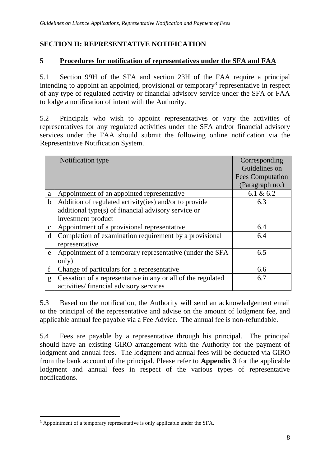# **SECTION II: REPRESENTATIVE NOTIFICATION**

## **5 Procedures for notification of representatives under the SFA and FAA**

5.1 Section 99H of the SFA and section 23H of the FAA require a principal intending to appoint an appointed, provisional or temporary<sup>3</sup> representative in respect of any type of regulated activity or financial advisory service under the SFA or FAA to lodge a notification of intent with the Authority.

5.2 Principals who wish to appoint representatives or vary the activities of representatives for any regulated activities under the SFA and/or financial advisory services under the FAA should submit the following online notification via the Representative Notification System.

|              | Notification type                                            | Corresponding<br>Guidelines on<br><b>Fees Computation</b><br>(Paragraph no.) |
|--------------|--------------------------------------------------------------|------------------------------------------------------------------------------|
| a            | Appointment of an appointed representative                   | 6.1 & $6.2$                                                                  |
| $\mathbf b$  | Addition of regulated activity(ies) and/or to provide        | 6.3                                                                          |
|              | additional type(s) of financial advisory service or          |                                                                              |
|              | investment product                                           |                                                                              |
| $\mathbf{C}$ | Appointment of a provisional representative                  | 6.4                                                                          |
| d            | Completion of examination requirement by a provisional       | 6.4                                                                          |
|              | representative                                               |                                                                              |
| e            | Appointment of a temporary representative (under the SFA     | 6.5                                                                          |
|              | only)                                                        |                                                                              |
| f            | Change of particulars for a representative                   | 6.6                                                                          |
| g            | Cessation of a representative in any or all of the regulated | 6.7                                                                          |
|              | activities/financial advisory services                       |                                                                              |

5.3 Based on the notification, the Authority will send an acknowledgement email to the principal of the representative and advise on the amount of lodgment fee, and applicable annual fee payable via a Fee Advice. The annual fee is non-refundable.

5.4 Fees are payable by a representative through his principal. The principal should have an existing GIRO arrangement with the Authority for the payment of lodgment and annual fees. The lodgment and annual fees will be deducted via GIRO from the bank account of the principal. Please refer to **Appendix 3** for the applicable lodgment and annual fees in respect of the various types of representative notifications.

<sup>1</sup> <sup>3</sup> Appointment of a temporary representative is only applicable under the SFA.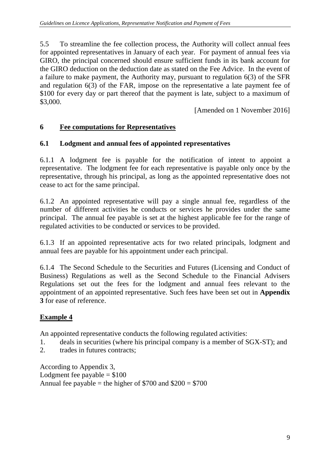5.5 To streamline the fee collection process, the Authority will collect annual fees for appointed representatives in January of each year. For payment of annual fees via GIRO, the principal concerned should ensure sufficient funds in its bank account for the GIRO deduction on the deduction date as stated on the Fee Advice. In the event of a failure to make payment, the Authority may, pursuant to regulation 6(3) of the SFR and regulation 6(3) of the FAR, impose on the representative a late payment fee of \$100 for every day or part thereof that the payment is late, subject to a maximum of \$3,000.

[Amended on 1 November 2016]

## **6 Fee computations for Representatives**

## **6.1 Lodgment and annual fees of appointed representatives**

6.1.1 A lodgment fee is payable for the notification of intent to appoint a representative. The lodgment fee for each representative is payable only once by the representative, through his principal, as long as the appointed representative does not cease to act for the same principal.

6.1.2 An appointed representative will pay a single annual fee, regardless of the number of different activities he conducts or services he provides under the same principal. The annual fee payable is set at the highest applicable fee for the range of regulated activities to be conducted or services to be provided.

6.1.3 If an appointed representative acts for two related principals, lodgment and annual fees are payable for his appointment under each principal.

6.1.4 The Second Schedule to the Securities and Futures (Licensing and Conduct of Business) Regulations as well as the Second Schedule to the Financial Advisers Regulations set out the fees for the lodgment and annual fees relevant to the appointment of an appointed representative. Such fees have been set out in **Appendix 3** for ease of reference.

# **Example 4**

An appointed representative conducts the following regulated activities:

- 1. deals in securities (where his principal company is a member of SGX-ST); and
- 2. trades in futures contracts;

According to Appendix 3, Lodgment fee payable  $= $100$ Annual fee payable = the higher of  $$700$  and  $$200 = $700$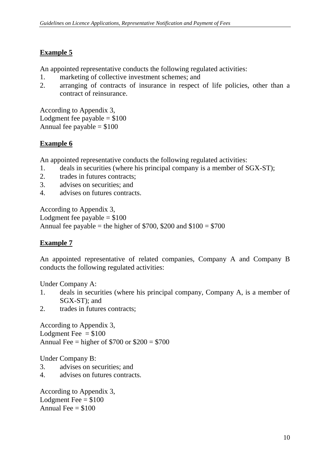# **Example 5**

An appointed representative conducts the following regulated activities:

- 1. marketing of collective investment schemes; and
- 2. arranging of contracts of insurance in respect of life policies, other than a contract of reinsurance.

According to Appendix 3, Lodgment fee payable  $= $100$ Annual fee payable  $= $100$ 

## **Example 6**

An appointed representative conducts the following regulated activities:

- 1. deals in securities (where his principal company is a member of SGX-ST);
- 2. trades in futures contracts;
- 3. advises on securities; and
- 4. advises on futures contracts.

According to Appendix 3, Lodgment fee payable  $= $100$ Annual fee payable = the higher of  $$700, $200$  and  $$100 = $700$ 

## **Example 7**

An appointed representative of related companies, Company A and Company B conducts the following regulated activities:

Under Company A:

- 1. deals in securities (where his principal company, Company A, is a member of SGX-ST); and
- 2. trades in futures contracts;

According to Appendix 3, Lodgment Fee  $= $100$ Annual Fee = higher of  $$700$  or  $$200 = $700$ 

Under Company B:

- 3. advises on securities; and
- 4. advises on futures contracts.

According to Appendix 3, Lodgment Fee  $= $100$ Annual Fee  $= $100$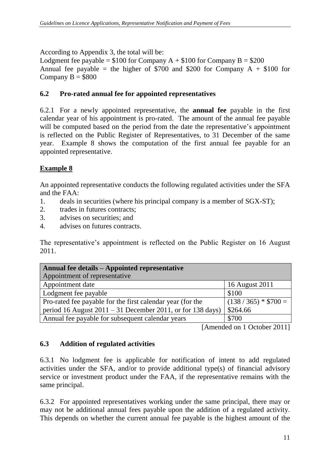According to Appendix 3, the total will be:

Lodgment fee payable =  $$100$  for Company A +  $$100$  for Company B =  $$200$ Annual fee payable = the higher of  $$700$  and \$200 for Company A + \$100 for Company  $B = $800$ 

## **6.2 Pro-rated annual fee for appointed representatives**

6.2.1 For a newly appointed representative, the **annual fee** payable in the first calendar year of his appointment is pro-rated. The amount of the annual fee payable will be computed based on the period from the date the representative's appointment is reflected on the Public Register of Representatives, to 31 December of the same year. Example 8 shows the computation of the first annual fee payable for an appointed representative.

# **Example 8**

An appointed representative conducts the following regulated activities under the SFA and the FAA:

- 1. deals in securities (where his principal company is a member of SGX-ST);
- 2. trades in futures contracts;
- 3. advises on securities; and
- 4. advises on futures contracts.

The representative's appointment is reflected on the Public Register on 16 August 2011.

| Annual fee details – Appointed representative                |                      |
|--------------------------------------------------------------|----------------------|
| Appointment of representative                                |                      |
| Appointment date                                             | 16 August 2011       |
| Lodgment fee payable                                         | \$100                |
| Pro-rated fee payable for the first calendar year (for the   | $(138/365) * $700 =$ |
| period 16 August $2011 - 31$ December 2011, or for 138 days) | \$264.66             |
| Annual fee payable for subsequent calendar years             | \$700                |

[Amended on 1 October 2011]

# **6.3 Addition of regulated activities**

6.3.1 No lodgment fee is applicable for notification of intent to add regulated activities under the SFA, and/or to provide additional type(s) of financial advisory service or investment product under the FAA, if the representative remains with the same principal.

6.3.2 For appointed representatives working under the same principal, there may or may not be additional annual fees payable upon the addition of a regulated activity. This depends on whether the current annual fee payable is the highest amount of the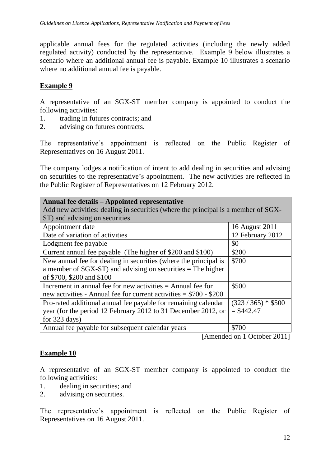applicable annual fees for the regulated activities (including the newly added regulated activity) conducted by the representative. Example 9 below illustrates a scenario where an additional annual fee is payable. Example 10 illustrates a scenario where no additional annual fee is payable.

## **Example 9**

A representative of an SGX-ST member company is appointed to conduct the following activities:

- 1. trading in futures contracts; and
- 2. advising on futures contracts.

The representative's appointment is reflected on the Public Register of Representatives on 16 August 2011.

The company lodges a notification of intent to add dealing in securities and advising on securities to the representative's appointment. The new activities are reflected in the Public Register of Representatives on 12 February 2012.

| Annual fee details – Appointed representative<br>Add new activities: dealing in securities (where the principal is a member of SGX- |                      |  |
|-------------------------------------------------------------------------------------------------------------------------------------|----------------------|--|
| ST) and advising on securities                                                                                                      |                      |  |
| Appointment date                                                                                                                    | 16 August 2011       |  |
| Date of variation of activities                                                                                                     | 12 February 2012     |  |
| Lodgment fee payable                                                                                                                | \$0                  |  |
| Current annual fee payable (The higher of \$200 and \$100)                                                                          | \$200                |  |
| New annual fee for dealing in securities (where the principal is                                                                    | \$700                |  |
| a member of $SGX-ST$ ) and advising on securities = The higher                                                                      |                      |  |
| of \$700, \$200 and \$100                                                                                                           |                      |  |
| Increment in annual fee for new activities $=$ Annual fee for                                                                       | \$500                |  |
| new activities - Annual fee for current activities $= $700 - $200$                                                                  |                      |  |
| Pro-rated additional annual fee payable for remaining calendar                                                                      | $(323 / 365) * $500$ |  |
| year (for the period 12 February 2012 to 31 December 2012, or                                                                       | $=$ \$442.47         |  |
| for $323 \text{ days}$ )                                                                                                            |                      |  |
| \$700<br>Annual fee payable for subsequent calendar years                                                                           |                      |  |

[Amended on 1 October 2011]

## **Example 10**

A representative of an SGX-ST member company is appointed to conduct the following activities:

- 1. dealing in securities; and
- 2. advising on securities.

The representative's appointment is reflected on the Public Register of Representatives on 16 August 2011.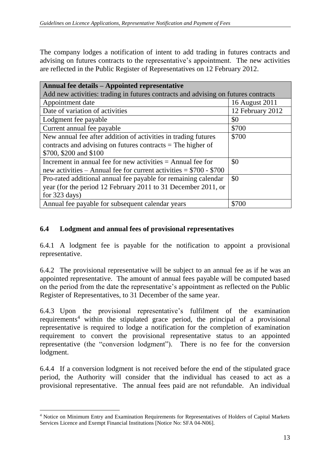The company lodges a notification of intent to add trading in futures contracts and advising on futures contracts to the representative's appointment. The new activities are reflected in the Public Register of Representatives on 12 February 2012.

| Annual fee details – Appointed representative                                      |                  |  |
|------------------------------------------------------------------------------------|------------------|--|
| Add new activities: trading in futures contracts and advising on futures contracts |                  |  |
| Appointment date                                                                   | 16 August 2011   |  |
| Date of variation of activities                                                    | 12 February 2012 |  |
| Lodgment fee payable                                                               | \$0              |  |
| Current annual fee payable                                                         | \$700            |  |
| New annual fee after addition of activities in trading futures                     | \$700            |  |
| contracts and advising on futures contracts = The higher of                        |                  |  |
| \$700, \$200 and \$100                                                             |                  |  |
| Increment in annual fee for new activities $=$ Annual fee for                      | \$0              |  |
| new activities – Annual fee for current activities = $$700 - $700$                 |                  |  |
| Pro-rated additional annual fee payable for remaining calendar                     | \$0              |  |
| year (for the period 12 February 2011 to 31 December 2011, or                      |                  |  |
| for $323 \text{ days}$ )                                                           |                  |  |
| Annual fee payable for subsequent calendar years                                   | \$700            |  |

#### **6.4 Lodgment and annual fees of provisional representatives**

6.4.1 A lodgment fee is payable for the notification to appoint a provisional representative.

6.4.2 The provisional representative will be subject to an annual fee as if he was an appointed representative. The amount of annual fees payable will be computed based on the period from the date the representative's appointment as reflected on the Public Register of Representatives, to 31 December of the same year.

6.4.3 Upon the provisional representative's fulfilment of the examination requirements<sup>4</sup> within the stipulated grace period, the principal of a provisional representative is required to lodge a notification for the completion of examination requirement to convert the provisional representative status to an appointed representative (the "conversion lodgment"). There is no fee for the conversion lodgment.

6.4.4 If a conversion lodgment is not received before the end of the stipulated grace period, the Authority will consider that the individual has ceased to act as a provisional representative. The annual fees paid are not refundable. An individual

1

<sup>4</sup> Notice on Minimum Entry and Examination Requirements for Representatives of Holders of Capital Markets Services Licence and Exempt Financial Institutions [Notice No: SFA 04-N06].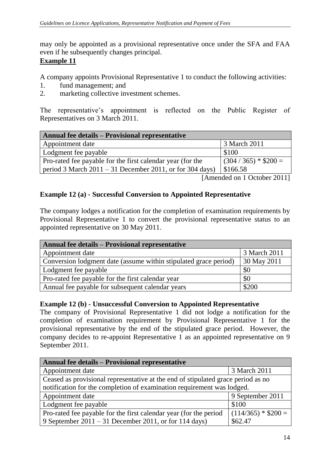may only be appointed as a provisional representative once under the SFA and FAA even if he subsequently changes principal.

#### **Example 11**

A company appoints Provisional Representative 1 to conduct the following activities:

- 1. fund management; and
- 2. marketing collective investment schemes.

The representative's appointment is reflected on the Public Register of Representatives on 3 March 2011.

| <b>Annual fee details – Provisional representative</b>     |                        |  |
|------------------------------------------------------------|------------------------|--|
| Appointment date                                           | 3 March 2011           |  |
| Lodgment fee payable                                       | \$100                  |  |
| Pro-rated fee payable for the first calendar year (for the | $(304 / 365) * $200 =$ |  |
| period 3 March $2011 - 31$ December 2011, or for 304 days) | \$166.58               |  |

[Amended on 1 October 2011]

#### **Example 12 (a) - Successful Conversion to Appointed Representative**

The company lodges a notification for the completion of examination requirements by Provisional Representative 1 to convert the provisional representative status to an appointed representative on 30 May 2011.

| <b>Annual fee details – Provisional representative</b>           |              |  |
|------------------------------------------------------------------|--------------|--|
| Appointment date                                                 | 3 March 2011 |  |
| Conversion lodgment date (assume within stipulated grace period) | 30 May 2011  |  |
| Lodgment fee payable                                             | \$0          |  |
| Pro-rated fee payable for the first calendar year                | \$0          |  |
| Annual fee payable for subsequent calendar years                 | \$200        |  |

#### **Example 12 (b) - Unsuccessful Conversion to Appointed Representative**

The company of Provisional Representative 1 did not lodge a notification for the completion of examination requirement by Provisional Representative 1 for the provisional representative by the end of the stipulated grace period. However, the company decides to re-appoint Representative  $1$  as an appointed representative on 9 September 2011.

| <b>Annual fee details - Provisional representative</b>                           |                      |  |
|----------------------------------------------------------------------------------|----------------------|--|
| Appointment date                                                                 | 3 March 2011         |  |
| Ceased as provisional representative at the end of stipulated grace period as no |                      |  |
| notification for the completion of examination requirement was lodged.           |                      |  |
| Appointment date                                                                 | 9 September 2011     |  |
| Lodgment fee payable                                                             | \$100                |  |
| Pro-rated fee payable for the first calendar year (for the period                | $(114/365) * $200 =$ |  |
| 9 September 2011 – 31 December 2011, or for 114 days)                            | \$62.47              |  |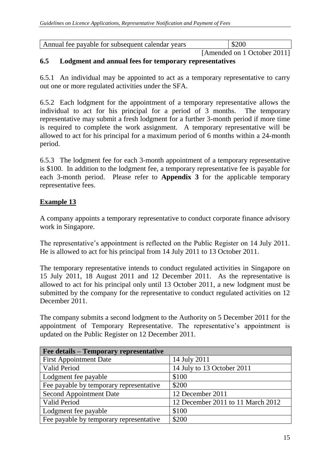| Annual fee payable for subsequent calendar years | \$200 |
|--------------------------------------------------|-------|
|                                                  |       |

[Amended on 1 October 2011]

#### **6.5 Lodgment and annual fees for temporary representatives**

6.5.1 An individual may be appointed to act as a temporary representative to carry out one or more regulated activities under the SFA.

6.5.2 Each lodgment for the appointment of a temporary representative allows the individual to act for his principal for a period of 3 months. The temporary representative may submit a fresh lodgment for a further 3-month period if more time is required to complete the work assignment. A temporary representative will be allowed to act for his principal for a maximum period of 6 months within a 24-month period.

6.5.3 The lodgment fee for each 3-month appointment of a temporary representative is \$100. In addition to the lodgment fee, a temporary representative fee is payable for each 3-month period. Please refer to **Appendix 3** for the applicable temporary representative fees.

## **Example 13**

A company appoints a temporary representative to conduct corporate finance advisory work in Singapore.

The representative's appointment is reflected on the Public Register on 14 July 2011. He is allowed to act for his principal from 14 July 2011 to 13 October 2011.

The temporary representative intends to conduct regulated activities in Singapore on 15 July 2011, 18 August 2011 and 12 December 2011. As the representative is allowed to act for his principal only until 13 October 2011, a new lodgment must be submitted by the company for the representative to conduct regulated activities on 12 December 2011.

The company submits a second lodgment to the Authority on 5 December 2011 for the appointment of Temporary Representative*.* The representative's appointment is updated on the Public Register on 12 December 2011.

| Fee details - Temporary representative  |                                   |
|-----------------------------------------|-----------------------------------|
| <b>First Appointment Date</b>           | 14 July 2011                      |
| Valid Period                            | 14 July to 13 October 2011        |
| Lodgment fee payable                    | \$100                             |
| Fee payable by temporary representative | \$200                             |
| <b>Second Appointment Date</b>          | 12 December 2011                  |
| Valid Period                            | 12 December 2011 to 11 March 2012 |
| Lodgment fee payable                    | \$100                             |
| Fee payable by temporary representative | \$200                             |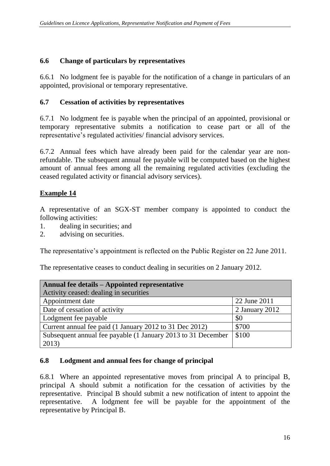## **6.6 Change of particulars by representatives**

6.6.1 No lodgment fee is payable for the notification of a change in particulars of an appointed, provisional or temporary representative.

## **6.7 Cessation of activities by representatives**

6.7.1 No lodgment fee is payable when the principal of an appointed, provisional or temporary representative submits a notification to cease part or all of the representative's regulated activities/ financial advisory services.

6.7.2 Annual fees which have already been paid for the calendar year are nonrefundable. The subsequent annual fee payable will be computed based on the highest amount of annual fees among all the remaining regulated activities (excluding the ceased regulated activity or financial advisory services).

## **Example 14**

A representative of an SGX-ST member company is appointed to conduct the following activities:

- 1. dealing in securities; and
- 2. advising on securities.

The representative's appointment is reflected on the Public Register on 22 June 2011.

The representative ceases to conduct dealing in securities on 2 January 2012.

| Annual fee details – Appointed representative                |                |  |  |  |
|--------------------------------------------------------------|----------------|--|--|--|
| Activity ceased: dealing in securities                       |                |  |  |  |
| Appointment date                                             | 22 June 2011   |  |  |  |
| Date of cessation of activity                                | 2 January 2012 |  |  |  |
| Lodgment fee payable                                         | \$0            |  |  |  |
| Current annual fee paid (1 January 2012 to 31 Dec 2012)      | \$700          |  |  |  |
| Subsequent annual fee payable (1 January 2013 to 31 December | \$100          |  |  |  |
| 2013)                                                        |                |  |  |  |

## **6.8 Lodgment and annual fees for change of principal**

6.8.1 Where an appointed representative moves from principal A to principal B, principal A should submit a notification for the cessation of activities by the representative. Principal B should submit a new notification of intent to appoint the representative. A lodgment fee will be payable for the appointment of the representative by Principal B.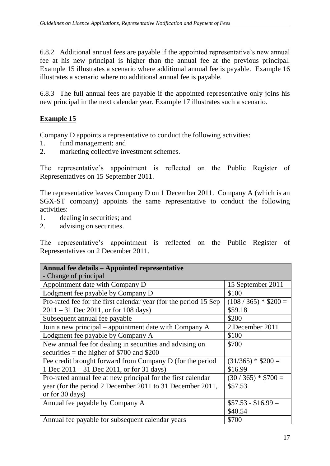6.8.2 Additional annual fees are payable if the appointed representative's new annual fee at his new principal is higher than the annual fee at the previous principal. Example 15 illustrates a scenario where additional annual fee is payable. Example 16 illustrates a scenario where no additional annual fee is payable.

6.8.3 The full annual fees are payable if the appointed representative only joins his new principal in the next calendar year. Example 17 illustrates such a scenario.

# **Example 15**

Company D appoints a representative to conduct the following activities:

- 1. fund management; and
- 2. marketing collective investment schemes.

The representative's appointment is reflected on the Public Register of Representatives on 15 September 2011.

The representative leaves Company D on 1 December 2011. Company A (which is an SGX-ST company) appoints the same representative to conduct the following activities:

- 1. dealing in securities; and
- 2. advising on securities.

The representative's appointment is reflected on the Public Register of Representatives on 2 December 2011.

| Annual fee details – Appointed representative                    |                      |  |  |  |  |
|------------------------------------------------------------------|----------------------|--|--|--|--|
| - Change of principal                                            |                      |  |  |  |  |
| Appointment date with Company D                                  | 15 September 2011    |  |  |  |  |
| Lodgment fee payable by Company D                                | \$100                |  |  |  |  |
| Pro-rated fee for the first calendar year (for the period 15 Sep | $(108/365) * $200 =$ |  |  |  |  |
| $2011 - 31$ Dec 2011, or for 108 days)                           | \$59.18              |  |  |  |  |
| Subsequent annual fee payable                                    | \$200                |  |  |  |  |
| Join a new principal – appointment date with Company A           | 2 December 2011      |  |  |  |  |
| Lodgment fee payable by Company A                                | \$100                |  |  |  |  |
| New annual fee for dealing in securities and advising on         | \$700                |  |  |  |  |
| securities = the higher of $$700$ and $$200$                     |                      |  |  |  |  |
| Fee credit brought forward from Company D (for the period        | $(31/365) * $200 =$  |  |  |  |  |
| 1 Dec $2011 - 31$ Dec $2011$ , or for 31 days)                   | \$16.99              |  |  |  |  |
| Pro-rated annual fee at new principal for the first calendar     | $(30/365) * $700 =$  |  |  |  |  |
| year (for the period 2 December 2011 to 31 December 2011,        | \$57.53              |  |  |  |  |
| or for 30 days)                                                  |                      |  |  |  |  |
| Annual fee payable by Company A                                  | $$57.53 - $16.99 =$  |  |  |  |  |
|                                                                  | \$40.54              |  |  |  |  |
| Annual fee payable for subsequent calendar years                 | \$700                |  |  |  |  |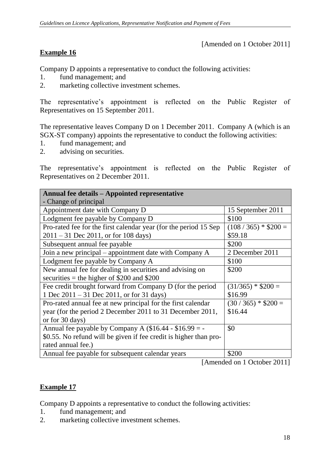[Amended on 1 October 2011]

## **Example 16**

Company D appoints a representative to conduct the following activities:

- 1. fund management; and
- 2. marketing collective investment schemes.

The representative's appointment is reflected on the Public Register of Representatives on 15 September 2011.

The representative leaves Company D on 1 December 2011. Company A (which is an SGX-ST company) appoints the representative to conduct the following activities:

- 1. fund management; and
- 2. advising on securities.

The representative's appointment is reflected on the Public Register of Representatives on 2 December 2011.

| <b>Annual fee details – Appointed representative</b>              |                      |  |  |  |  |
|-------------------------------------------------------------------|----------------------|--|--|--|--|
| - Change of principal                                             |                      |  |  |  |  |
| Appointment date with Company D                                   | 15 September 2011    |  |  |  |  |
| Lodgment fee payable by Company D                                 | \$100                |  |  |  |  |
| Pro-rated fee for the first calendar year (for the period 15 Sep  | $(108/365) * $200 =$ |  |  |  |  |
| $2011 - 31$ Dec 2011, or for 108 days)                            | \$59.18              |  |  |  |  |
| Subsequent annual fee payable                                     | \$200                |  |  |  |  |
| Join a new principal – appointment date with Company A            | 2 December 2011      |  |  |  |  |
| Lodgment fee payable by Company A                                 | \$100                |  |  |  |  |
| New annual fee for dealing in securities and advising on          | \$200                |  |  |  |  |
| securities = the higher of $$200$ and $$200$                      |                      |  |  |  |  |
| Fee credit brought forward from Company D (for the period         | $(31/365) * $200 =$  |  |  |  |  |
| 1 Dec $2011 - 31$ Dec $2011$ , or for 31 days)                    | \$16.99              |  |  |  |  |
| Pro-rated annual fee at new principal for the first calendar      | $(30/365) * $200 =$  |  |  |  |  |
| year (for the period 2 December 2011 to 31 December 2011,         | \$16.44              |  |  |  |  |
| or for 30 days)                                                   |                      |  |  |  |  |
| Annual fee payable by Company A $(\$16.44 - \$16.99 = -$          | \$0                  |  |  |  |  |
| \$0.55. No refund will be given if fee credit is higher than pro- |                      |  |  |  |  |
| rated annual fee.)                                                |                      |  |  |  |  |
| Annual fee payable for subsequent calendar years                  | \$200                |  |  |  |  |

[Amended on 1 October 2011]

## **Example 17**

Company D appoints a representative to conduct the following activities:

- 1. fund management; and
- 2. marketing collective investment schemes.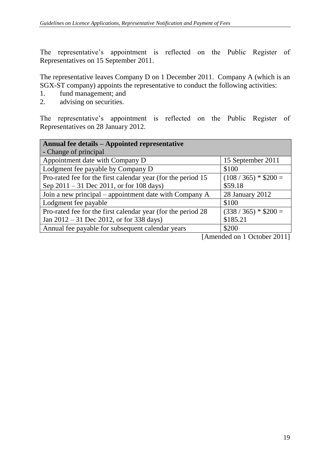The representative's appointment is reflected on the Public Register of Representatives on 15 September 2011.

The representative leaves Company D on 1 December 2011. Company A (which is an SGX-ST company) appoints the representative to conduct the following activities:

- 1. fund management; and
- 2. advising on securities.

The representative's appointment is reflected on the Public Register of Representatives on 28 January 2012.

| Annual fee details – Appointed representative                |                                                   |  |  |  |
|--------------------------------------------------------------|---------------------------------------------------|--|--|--|
| - Change of principal                                        |                                                   |  |  |  |
| Appointment date with Company D                              | 15 September 2011                                 |  |  |  |
| Lodgment fee payable by Company D                            | \$100                                             |  |  |  |
| Pro-rated fee for the first calendar year (for the period 15 | $(108 / 365) * $200 =$                            |  |  |  |
| Sep $2011 - 31$ Dec $2011$ , or for 108 days)                | \$59.18                                           |  |  |  |
| Join a new principal – appointment date with Company A       | 28 January 2012                                   |  |  |  |
| Lodgment fee payable                                         | \$100                                             |  |  |  |
| Pro-rated fee for the first calendar year (for the period 28 | $(338 / 365) * $200 =$                            |  |  |  |
| Jan $2012 - 31$ Dec 2012, or for 338 days)                   | \$185.21                                          |  |  |  |
| Annual fee payable for subsequent calendar years             | \$200                                             |  |  |  |
|                                                              | $\begin{bmatrix} 1 & 1 & 1 & 1 & 1 \end{bmatrix}$ |  |  |  |

[Amended on 1 October 2011]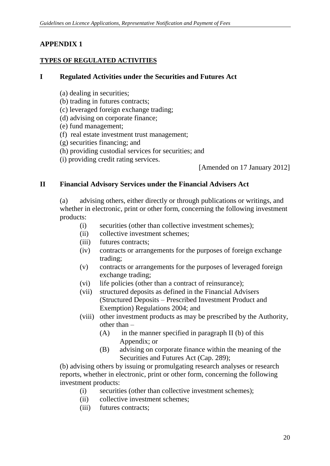# **APPENDIX 1**

#### **TYPES OF REGULATED ACTIVITIES**

#### **I Regulated Activities under the Securities and Futures Act**

- (a) dealing in securities;
- (b) trading in futures contracts;
- (c) leveraged foreign exchange trading;
- (d) advising on corporate finance;
- (e) fund management;
- (f) real estate investment trust management;
- (g) securities financing; and
- (h) providing custodial services for securities; and
- (i) providing credit rating services.

[Amended on 17 January 2012]

#### **II Financial Advisory Services under the Financial Advisers Act**

(a) advising others, either directly or through publications or writings, and whether in electronic, print or other form, concerning the following investment products:

- (i) securities (other than collective investment schemes);
- (ii) collective investment schemes;
- (iii) futures contracts;
- (iv) contracts or arrangements for the purposes of foreign exchange trading;
- (v) contracts or arrangements for the purposes of leveraged foreign exchange trading;
- (vi) life policies (other than a contract of reinsurance);
- (vii) structured deposits as defined in the Financial Advisers (Structured Deposits – Prescribed Investment Product and Exemption) Regulations 2004; and
- (viii) other investment products as may be prescribed by the Authority, other than –
	- $(A)$  in the manner specified in paragraph II (b) of this Appendix; or
	- (B) advising on corporate finance within the meaning of the Securities and Futures Act (Cap. 289);

(b) advising others by issuing or promulgating research analyses or research reports, whether in electronic, print or other form, concerning the following investment products:

- (i) securities (other than collective investment schemes);
- (ii) collective investment schemes;
- (iii) futures contracts;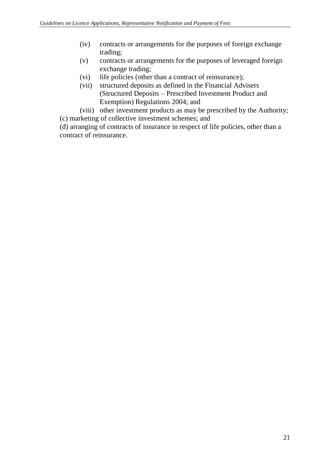- (iv) contracts or arrangements for the purposes of foreign exchange trading;
- (v) contracts or arrangements for the purposes of leveraged foreign exchange trading;
- (vi) life policies (other than a contract of reinsurance);
- (vii) structured deposits as defined in the Financial Advisers (Structured Deposits – Prescribed Investment Product and Exemption) Regulations 2004; and
- (viii) other investment products as may be prescribed by the Authority; (c) marketing of collective investment schemes; and

(d) arranging of contracts of insurance in respect of life policies, other than a contract of reinsurance.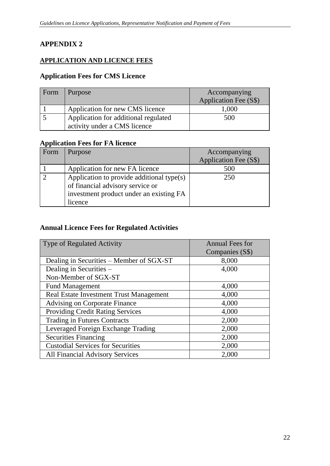# **APPENDIX 2**

#### **APPLICATION AND LICENCE FEES**

#### **Application Fees for CMS Licence**

| Form | Purpose                                                              | Accompanying<br>Application Fee (S\$) |
|------|----------------------------------------------------------------------|---------------------------------------|
|      | Application for new CMS licence                                      | 1,000                                 |
|      | Application for additional regulated<br>activity under a CMS licence | 500                                   |

#### **Application Fees for FA licence**

| Form | Purpose                                                                       | Accompanying<br>Application Fee (S\$) |
|------|-------------------------------------------------------------------------------|---------------------------------------|
|      | Application for new FA licence                                                | 500                                   |
|      | Application to provide additional type(s)<br>of financial advisory service or | 250                                   |
|      | investment product under an existing FA<br>licence                            |                                       |

#### **Annual Licence Fees for Regulated Activities**

| <b>Type of Regulated Activity</b>        | <b>Annual Fees for</b><br>Companies (S\$) |  |
|------------------------------------------|-------------------------------------------|--|
| Dealing in Securities – Member of SGX-ST | 8,000                                     |  |
| Dealing in Securities -                  | 4,000                                     |  |
| Non-Member of SGX-ST                     |                                           |  |
| <b>Fund Management</b>                   | 4,000                                     |  |
| Real Estate Investment Trust Management  | 4,000                                     |  |
| <b>Advising on Corporate Finance</b>     | 4,000                                     |  |
| <b>Providing Credit Rating Services</b>  | 4,000                                     |  |
| <b>Trading in Futures Contracts</b>      | 2,000                                     |  |
| Leveraged Foreign Exchange Trading       | 2,000                                     |  |
| <b>Securities Financing</b>              | 2,000                                     |  |
| <b>Custodial Services for Securities</b> | 2,000                                     |  |
| <b>All Financial Advisory Services</b>   | 2,000                                     |  |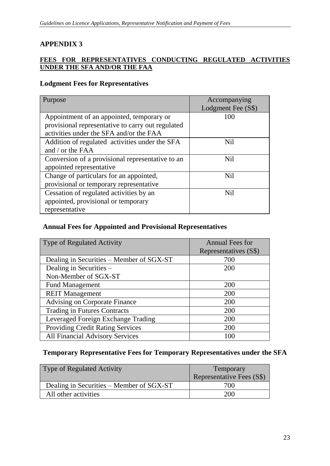# **APPENDIX 3**

#### **FEES FOR REPRESENTATIVES CONDUCTING REGULATED ACTIVITIES UNDER THE SFA AND/OR THE FAA**

#### **Lodgment Fees for Representatives**

| Purpose                                           | Accompanying<br>Lodgment Fee (S\$) |
|---------------------------------------------------|------------------------------------|
| Appointment of an appointed, temporary or         | 100                                |
| provisional representative to carry out regulated |                                    |
| activities under the SFA and/or the FAA           |                                    |
| Addition of regulated activities under the SFA    | <b>Nil</b>                         |
| and / or the FAA                                  |                                    |
| Conversion of a provisional representative to an  | N <sub>il</sub>                    |
| appointed representative                          |                                    |
| Change of particulars for an appointed,           | <b>Nil</b>                         |
| provisional or temporary representative           |                                    |
| Cessation of regulated activities by an           | <b>Nil</b>                         |
| appointed, provisional or temporary               |                                    |
| representative                                    |                                    |

#### **Annual Fees for Appointed and Provisional Representatives**

| <b>Type of Regulated Activity</b>        | <b>Annual Fees for</b> |
|------------------------------------------|------------------------|
|                                          | Representatives (S\$)  |
| Dealing in Securities – Member of SGX-ST | 700                    |
| Dealing in Securities -                  | 200                    |
| Non-Member of SGX-ST                     |                        |
| <b>Fund Management</b>                   | 200                    |
| <b>REIT</b> Management                   | 200                    |
| <b>Advising on Corporate Finance</b>     | 200                    |
| <b>Trading in Futures Contracts</b>      | 200                    |
| Leveraged Foreign Exchange Trading       | 200                    |
| <b>Providing Credit Rating Services</b>  | 200                    |
| <b>All Financial Advisory Services</b>   | 100                    |

#### **Temporary Representative Fees for Temporary Representatives under the SFA**

| <b>Type of Regulated Activity</b>        | Temporary<br>Representative Fees (S\$) |
|------------------------------------------|----------------------------------------|
| Dealing in Securities – Member of SGX-ST | 700                                    |
| All other activities                     | 200                                    |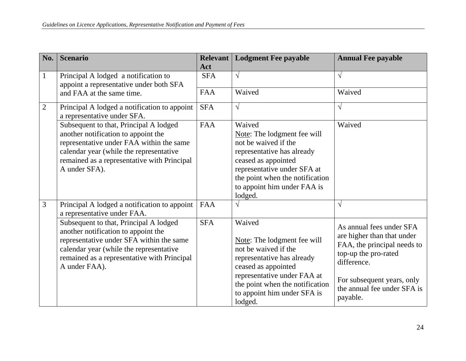| No.            | <b>Scenario</b>                                                                                                                                                                                                                      | <b>Relevant</b><br>Act | <b>Lodgment Fee payable</b>                                                                                                                                                                                                    | <b>Annual Fee payable</b>                                                                                                                                                                             |
|----------------|--------------------------------------------------------------------------------------------------------------------------------------------------------------------------------------------------------------------------------------|------------------------|--------------------------------------------------------------------------------------------------------------------------------------------------------------------------------------------------------------------------------|-------------------------------------------------------------------------------------------------------------------------------------------------------------------------------------------------------|
| $\mathbf{1}$   | Principal A lodged a notification to<br>appoint a representative under both SFA                                                                                                                                                      | <b>SFA</b>             | $\sqrt{ }$                                                                                                                                                                                                                     | $\sqrt{}$                                                                                                                                                                                             |
|                | and FAA at the same time.                                                                                                                                                                                                            | <b>FAA</b>             | Waived                                                                                                                                                                                                                         | Waived                                                                                                                                                                                                |
| $\overline{2}$ | Principal A lodged a notification to appoint<br>a representative under SFA.                                                                                                                                                          | <b>SFA</b>             | $\sqrt{}$                                                                                                                                                                                                                      | $\sqrt{}$                                                                                                                                                                                             |
|                | Subsequent to that, Principal A lodged<br>another notification to appoint the<br>representative under FAA within the same<br>calendar year (while the representative<br>remained as a representative with Principal<br>A under SFA). | <b>FAA</b>             | Waived<br>Note: The lodgment fee will<br>not be waived if the<br>representative has already<br>ceased as appointed<br>representative under SFA at<br>the point when the notification<br>to appoint him under FAA is<br>lodged. | Waived                                                                                                                                                                                                |
| 3              | Principal A lodged a notification to appoint<br>a representative under FAA.                                                                                                                                                          | <b>FAA</b>             | $\sqrt{}$                                                                                                                                                                                                                      | $\sqrt{ }$                                                                                                                                                                                            |
|                | Subsequent to that, Principal A lodged<br>another notification to appoint the<br>representative under SFA within the same<br>calendar year (while the representative<br>remained as a representative with Principal<br>A under FAA). | <b>SFA</b>             | Waived<br>Note: The lodgment fee will<br>not be waived if the<br>representative has already<br>ceased as appointed<br>representative under FAA at<br>the point when the notification<br>to appoint him under SFA is<br>lodged. | As annual fees under SFA<br>are higher than that under<br>FAA, the principal needs to<br>top-up the pro-rated<br>difference.<br>For subsequent years, only<br>the annual fee under SFA is<br>payable. |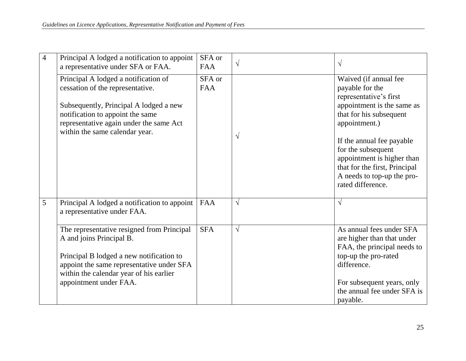|  | 4 | Principal A lodged a notification to appoint<br>a representative under SFA or FAA.                                                                                                                                                   | SFA or<br><b>FAA</b> | $\sqrt{}$  | $\sqrt{ }$                                                                                                                                                                                            |
|--|---|--------------------------------------------------------------------------------------------------------------------------------------------------------------------------------------------------------------------------------------|----------------------|------------|-------------------------------------------------------------------------------------------------------------------------------------------------------------------------------------------------------|
|  |   | Principal A lodged a notification of<br>cessation of the representative.<br>Subsequently, Principal A lodged a new<br>notification to appoint the same<br>representative again under the same Act<br>within the same calendar year.  | SFA or<br><b>FAA</b> | $\sqrt{}$  | Waived (if annual fee<br>payable for the<br>representative's first<br>appointment is the same as<br>that for his subsequent<br>appointment.)                                                          |
|  |   |                                                                                                                                                                                                                                      |                      |            | If the annual fee payable<br>for the subsequent<br>appointment is higher than<br>that for the first, Principal<br>A needs to top-up the pro-<br>rated difference.                                     |
|  | 5 | Principal A lodged a notification to appoint<br>a representative under FAA.                                                                                                                                                          | <b>FAA</b>           | $\sqrt{ }$ | $\sqrt{ }$                                                                                                                                                                                            |
|  |   | The representative resigned from Principal<br>A and joins Principal B.<br>Principal B lodged a new notification to<br>appoint the same representative under SFA<br>within the calendar year of his earlier<br>appointment under FAA. | <b>SFA</b>           | $\sqrt{}$  | As annual fees under SFA<br>are higher than that under<br>FAA, the principal needs to<br>top-up the pro-rated<br>difference.<br>For subsequent years, only<br>the annual fee under SFA is<br>payable. |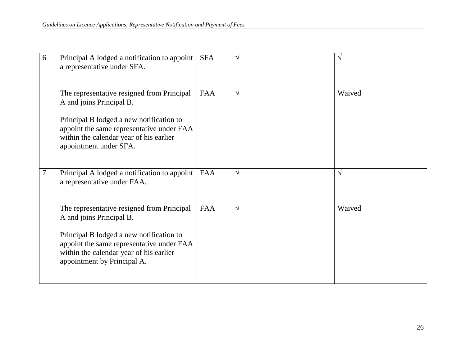| 6 | Principal A lodged a notification to appoint<br>a representative under SFA.                                                                                     | <b>SFA</b> | $\sqrt{ }$ | $\sqrt{ }$ |
|---|-----------------------------------------------------------------------------------------------------------------------------------------------------------------|------------|------------|------------|
|   | The representative resigned from Principal<br>A and joins Principal B.                                                                                          | <b>FAA</b> | $\sqrt{ }$ | Waived     |
|   | Principal B lodged a new notification to<br>appoint the same representative under FAA<br>within the calendar year of his earlier<br>appointment under SFA.      |            |            |            |
| 7 | Principal A lodged a notification to appoint<br>a representative under FAA.                                                                                     | <b>FAA</b> | $\sqrt{ }$ | $\sqrt{ }$ |
|   | The representative resigned from Principal<br>A and joins Principal B.                                                                                          | <b>FAA</b> | $\sqrt{ }$ | Waived     |
|   | Principal B lodged a new notification to<br>appoint the same representative under FAA<br>within the calendar year of his earlier<br>appointment by Principal A. |            |            |            |
|   |                                                                                                                                                                 |            |            |            |